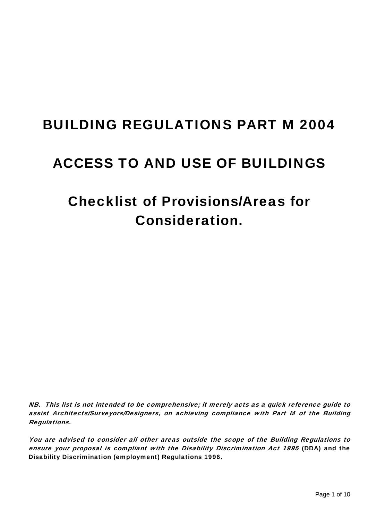# BUILDING REGULATIONS PART M 2004

# ACCESS TO AND USE OF BUILDINGS

# Checklist of Provisions/Areas for Consideration.

NB. This list is not intended to be comprehensive; it merely acts as a quick reference guide to assist Architects/Surveyors/Designers, on achieving compliance with Part M of the Building Regulations.

You are advised to consider all other areas outside the scope of the Building Regulations to ensure your proposal is compliant with the Disability Discrimination Act 1995 (DDA) and the Disability Discrimination (employment) Regulations 1996.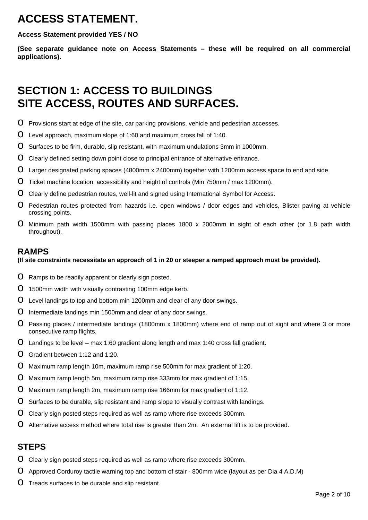# **ACCESS STATEMENT.**

**Access Statement provided YES / NO** 

**(See separate guidance note on Access Statements – these will be required on all commercial applications).** 

# **SECTION 1: ACCESS TO BUILDINGS SITE ACCESS, ROUTES AND SURFACES.**

- **O** Provisions start at edge of the site, car parking provisions, vehicle and pedestrian accesses.
- $\overline{O}$  Level approach, maximum slope of 1:60 and maximum cross fall of 1:40.
- **O** Surfaces to be firm, durable, slip resistant, with maximum undulations 3mm in 1000mm.
- O Clearly defined setting down point close to principal entrance of alternative entrance.
- **O** Larger designated parking spaces (4800mm x 2400mm) together with 1200mm access space to end and side.
- o Ticket machine location, accessibility and height of controls (Min 750mm / max 1200mm).
- O Clearly define pedestrian routes, well-lit and signed using International Symbol for Access.
- O Pedestrian routes protected from hazards i.e. open windows / door edges and vehicles, Blister paving at vehicle crossing points.
- o Minimum path width 1500mm with passing places 1800 x 2000mm in sight of each other (or 1.8 path width throughout).

#### **RAMPS**

#### **(If site constraints necessitate an approach of 1 in 20 or steeper a ramped approach must be provided).**

- **O** Ramps to be readily apparent or clearly sign posted.
- **O** 1500mm width with visually contrasting 100mm edge kerb.
- O Level landings to top and bottom min 1200mm and clear of any door swings.
- **O** Intermediate landings min 1500mm and clear of any door swings.
- o Passing places / intermediate landings (1800mm x 1800mm) where end of ramp out of sight and where 3 or more consecutive ramp flights.
- **O** Landings to be level max 1:60 gradient along length and max 1:40 cross fall gradient.
- o Gradient between 1:12 and 1:20.
- o Maximum ramp length 10m, maximum ramp rise 500mm for max gradient of 1:20.
- o Maximum ramp length 5m, maximum ramp rise 333mm for max gradient of 1:15.
- o Maximum ramp length 2m, maximum ramp rise 166mm for max gradient of 1:12.
- O Surfaces to be durable, slip resistant and ramp slope to visually contrast with landings.
- O Clearly sign posted steps required as well as ramp where rise exceeds 300mm.
- **O** Alternative access method where total rise is greater than 2m. An external lift is to be provided.

### **STEPS**

- **O** Clearly sign posted steps required as well as ramp where rise exceeds 300mm.
- o Approved Corduroy tactile warning top and bottom of stair 800mm wide (layout as per Dia 4 A.D.M)
- **O** Treads surfaces to be durable and slip resistant.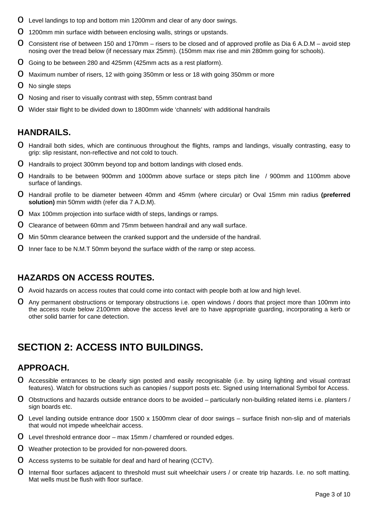- **O** Level landings to top and bottom min 1200mm and clear of any door swings.
- **O** 1200mm min surface width between enclosing walls, strings or upstands.
- O Consistent rise of between 150 and 170mm risers to be closed and of approved profile as Dia 6 A.D.M avoid step nosing over the tread below (if necessary max 25mm). (150mm max rise and min 280mm going for schools).
- **O** Going to be between 280 and 425mm (425mm acts as a rest platform).
- **O** Maximum number of risers, 12 with going 350mm or less or 18 with going 350mm or more
- **O** No single steps
- O Nosing and riser to visually contrast with step, 55mm contrast band
- **O** Wider stair flight to be divided down to 1800mm wide 'channels' with additional handrails

#### **HANDRAILS.**

- o Handrail both sides, which are continuous throughout the flights, ramps and landings, visually contrasting, easy to grip: slip resistant, non-reflective and not cold to touch.
- **O** Handrails to project 300mm beyond top and bottom landings with closed ends.
- o Handrails to be between 900mm and 1000mm above surface or steps pitch line / 900mm and 1100mm above surface of landings.
- o Handrail profile to be diameter between 40mm and 45mm (where circular) or Oval 15mm min radius **(preferred solution)** min 50mm width (refer dia 7 A.D.M).
- **O** Max 100mm projection into surface width of steps, landings or ramps.
- **O** Clearance of between 60mm and 75mm between handrail and any wall surface.
- **O** Min 50mm clearance between the cranked support and the underside of the handrail.
- **O** Inner face to be N.M.T 50mm beyond the surface width of the ramp or step access.

### **HAZARDS ON ACCESS ROUTES.**

- O Avoid hazards on access routes that could come into contact with people both at low and high level.
- O Any permanent obstructions or temporary obstructions i.e. open windows / doors that project more than 100mm into the access route below 2100mm above the access level are to have appropriate guarding, incorporating a kerb or other solid barrier for cane detection.

## **SECTION 2: ACCESS INTO BUILDINGS.**

### **APPROACH.**

- o Accessible entrances to be clearly sign posted and easily recognisable (i.e. by using lighting and visual contrast features). Watch for obstructions such as canopies / support posts etc. Signed using International Symbol for Access.
- $\Omega$  Obstructions and hazards outside entrance doors to be avoided particularly non-building related items i.e. planters / sign boards etc.
- $\Omega$  Level landing outside entrance door 1500 x 1500mm clear of door swings surface finish non-slip and of materials that would not impede wheelchair access.
- $\overline{O}$  Level threshold entrance door max 15mm / chamfered or rounded edges.
- **O** Weather protection to be provided for non-powered doors.
- $\Omega$  Access systems to be suitable for deaf and hard of hearing (CCTV).
- O Internal floor surfaces adjacent to threshold must suit wheelchair users / or create trip hazards. I.e. no soft matting. Mat wells must be flush with floor surface.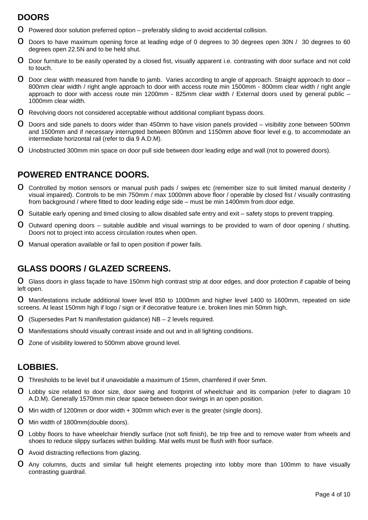### **DOORS**

- $O$  Powered door solution preferred option preferably sliding to avoid accidental collision.
- o Doors to have maximum opening force at leading edge of 0 degrees to 30 degrees open 30N / 30 degrees to 60 degrees open 22.5N and to be held shut.
- **O** Door furniture to be easily operated by a closed fist, visually apparent i.e. contrasting with door surface and not cold to touch.
- $\Omega$  Door clear width measured from handle to jamb. Varies according to angle of approach. Straight approach to door  $-$ 800mm clear width / right angle approach to door with access route min 1500mm - 800mm clear width / right angle approach to door with access route min 1200mm - 825mm clear width / External doors used by general public – 1000mm clear width.
- **O** Revolving doors not considered acceptable without additional compliant bypass doors.
- $\Omega$  Doors and side panels to doors wider than 450mm to have vision panels provided visibility zone between 500mm and 1500mm and if necessary interrupted between 800mm and 1150mm above floor level e.g. to accommodate an intermediate horizontal rail (refer to dia 9 A.D.M).
- **O** Unobstructed 300mm min space on door pull side between door leading edge and wall (not to powered doors).

### **POWERED ENTRANCE DOORS.**

- O Controlled by motion sensors or manual push pads / swipes etc (remember size to suit limited manual dexterity / visual impaired). Controls to be min 750mm / max 1000mm above floor / operable by closed fist / visually contrasting from background / where fitted to door leading edge side – must be min 1400mm from door edge.
- $\Omega$  Suitable early opening and timed closing to allow disabled safe entry and exit safety stops to prevent trapping.
- O Outward opening doors suitable audible and visual warnings to be provided to warn of door opening / shutting. Doors not to project into access circulation routes when open.
- **O** Manual operation available or fail to open position if power fails.

### **GLASS DOORS / GLAZED SCREENS.**

**O** Glass doors in glass facade to have 150mm high contrast strip at door edges, and door protection if capable of being left open.

o Manifestations include additional lower level 850 to 1000mm and higher level 1400 to 1600mm, repeated on side screens. At least 150mm high if logo / sign or if decorative feature i.e. broken lines min 50mm high.

- **O** (Supersedes Part N manifestation guidance)  $NB 2$  levels required.
- **O** Manifestations should visually contrast inside and out and in all lighting conditions.
- **O** Zone of visibility lowered to 500mm above ground level.

### **LOBBIES.**

- $\overline{O}$  Thresholds to be level but if unavoidable a maximum of 15mm, chamfered if over 5mm.
- o Lobby size related to door size, door swing and footprint of wheelchair and its companion (refer to diagram 10 A.D.M). Generally 1570mm min clear space between door swings in an open position.
- $\Omega$  Min width of 1200mm or door width  $+$  300mm which ever is the greater (single doors).
- **O** Min width of 1800mm(double doors).
- **O** Lobby floors to have wheelchair friendly surface (not soft finish), be trip free and to remove water from wheels and shoes to reduce slippy surfaces within building. Mat wells must be flush with floor surface.
- **O** Avoid distracting reflections from glazing.
- O Any columns, ducts and similar full height elements projecting into lobby more than 100mm to have visually contrasting guardrail.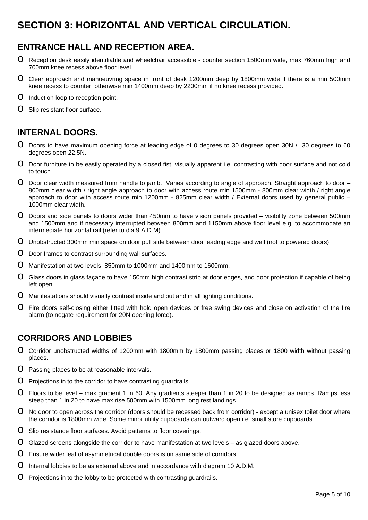## **SECTION 3: HORIZONTAL AND VERTICAL CIRCULATION.**

### **ENTRANCE HALL AND RECEPTION AREA.**

- **O** Reception desk easily identifiable and wheelchair accessible counter section 1500mm wide, max 760mm high and 700mm knee recess above floor level.
- o Clear approach and manoeuvring space in front of desk 1200mm deep by 1800mm wide if there is a min 500mm knee recess to counter, otherwise min 1400mm deep by 2200mm if no knee recess provided.
- **O** Induction loop to reception point.
- **O** Slip resistant floor surface.

### **INTERNAL DOORS.**

- o Doors to have maximum opening force at leading edge of 0 degrees to 30 degrees open 30N / 30 degrees to 60 degrees open 22.5N.
- **O** Door furniture to be easily operated by a closed fist, visually apparent i.e. contrasting with door surface and not cold to touch.
- $O$  Door clear width measured from handle to jamb. Varies according to angle of approach. Straight approach to door  $-$ 800mm clear width / right angle approach to door with access route min 1500mm - 800mm clear width / right angle approach to door with access route min 1200mm - 825mm clear width / External doors used by general public – 1000mm clear width.
- **O** Doors and side panels to doors wider than 450mm to have vision panels provided visibility zone between 500mm and 1500mm and if necessary interrupted between 800mm and 1150mm above floor level e.g. to accommodate an intermediate horizontal rail (refer to dia 9 A.D.M).
- **O** Unobstructed 300mm min space on door pull side between door leading edge and wall (not to powered doors).
- **O** Door frames to contrast surrounding wall surfaces.
- o Manifestation at two levels, 850mm to 1000mm and 1400mm to 1600mm.
- **O** Glass doors in glass façade to have 150mm high contrast strip at door edges, and door protection if capable of being left open.
- **O** Manifestations should visually contrast inside and out and in all lighting conditions.
- O Fire doors self-closing either fitted with hold open devices or free swing devices and close on activation of the fire alarm (to negate requirement for 20N opening force).

### **CORRIDORS AND LOBBIES**

- o Corridor unobstructed widths of 1200mm with 1800mm by 1800mm passing places or 1800 width without passing places.
- **O** Passing places to be at reasonable intervals.
- **O** Projections in to the corridor to have contrasting guardrails.
- $\Omega$  Floors to be level max gradient 1 in 60. Any gradients steeper than 1 in 20 to be designed as ramps. Ramps less steep than 1 in 20 to have max rise 500mm with 1500mm long rest landings.
- O No door to open across the corridor (doors should be recessed back from corridor) except a unisex toilet door where the corridor is 1800mm wide. Some minor utility cupboards can outward open i.e. small store cupboards.
- **O** Slip resistance floor surfaces. Avoid patterns to floor coverings.
- $\Omega$  Glazed screens alongside the corridor to have manifestation at two levels as glazed doors above.
- **O** Ensure wider leaf of asymmetrical double doors is on same side of corridors.
- $\Omega$  Internal lobbies to be as external above and in accordance with diagram 10 A.D.M.
- $\Omega$  Projections in to the lobby to be protected with contrasting guardrails.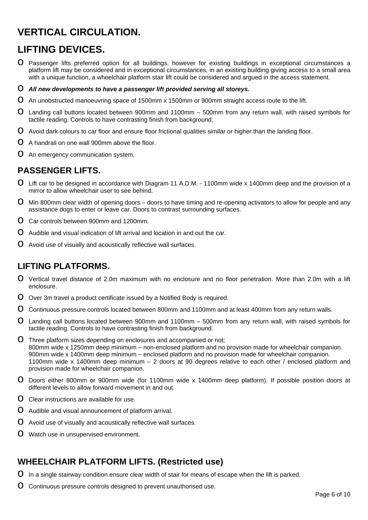## **VERTICAL CIRCULATION.**

## **LIFTING DEVICES.**

- O Passenger lifts preferred option for all buildings, however for existing buildings in exceptional circumstances a platform lift may be considered and in exceptional circumstances, in an existing building giving access to a small area with a unique function, a wheelchair platform stair lift could be considered and argued in the access statement.
- o *All new developments to have a passenger lift provided serving all storeys.*
- o An unobstructed manoeuvring space of 1500mm x 1500mm or 900mm straight access route to the lift.
- o Landing call buttons located between 900mm and 1100mm 500mm from any return wall, with raised symbols for tactile reading. Controls to have contrasting finish from background.
- O Avoid dark colours to car floor and ensure floor frictional qualities similar or higher than the landing floor.
- **O** A handrail on one wall 900mm above the floor.
- **O** An emergency communication system.

### **PASSENGER LIFTS.**

- o Lift car to be designed in accordance with Diagram 11 A.D.M. 1100mm wide x 1400mm deep and the provision of a mirror to allow wheelchair user to see behind.
- **O** Min 800mm clear width of opening doors doors to have timing and re-opening activators to allow for people and any assistance dogs to enter or leave car. Doors to contrast surrounding surfaces.
- o Car controls between 900mm and 1200mm.
- $\Omega$  Audible and visual indication of lift arrival and location in and out the car.
- **O** Avoid use of visually and acoustically reflective wall surfaces.

### **LIFTING PLATFORMS.**

- o Vertical travel distance of 2.0m maximum with no enclosure and no floor penetration. More than 2.0m with a lift enclosure.
- O Over 3m travel a product certificate issued by a Notified Body is required.
- **O** Continuous pressure controls located between 800mm and 1100mm and at least 400mm from any return walls.
- o Landing call buttons located between 900mm and 1100mm 500mm from any return wall, with raised symbols for tactile reading. Controls to have contrasting finish from background.
- O Three platform sizes depending on enclosures and accompanied or not; 800mm wide x 1250mm deep minimum – non-enclosed platform and no provision made for wheelchair companion. 900mm wide x 1400mm deep minimum – enclosed platform and no provision made for wheelchair companion. 1100mm wide x 1400mm deep minimum – 2 doors at 90 degrees relative to each other / enclosed platform and provision made for wheelchair companion.
- o Doors either 800mm or 900mm wide (for 1100mm wide x 1400mm deep platform). If possible position doors at different levels to allow forward movement in and out.
- $\Omega$  Clear instructions are available for use.
- **O** Audible and visual announcement of platform arrival.
- **O** Avoid use of visually and acoustically reflective wall surfaces.
- **O** Watch use in unsupervised environment.

### **WHEELCHAIR PLATFORM LIFTS. (Restricted use)**

- $\Omega$  In a single stairway condition ensure clear width of stair for means of escape when the lift is parked.
- **O** Continuous pressure controls designed to prevent unauthorised use.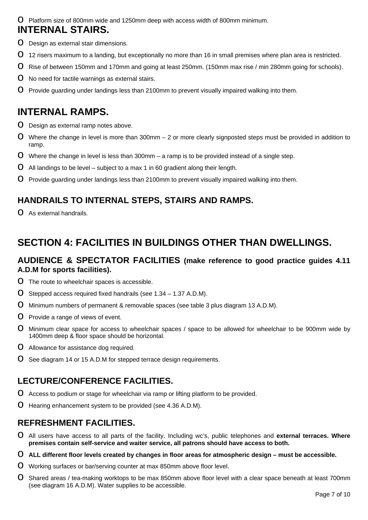o Platform size of 800mm wide and 1250mm deep with access width of 800mm minimum.

### **INTERNAL STAIRS.**

- **O** Design as external stair dimensions.
- O 12 risers maximum to a landing, but exceptionally no more than 16 in small premises where plan area is restricted.
- o Rise of between 150mm and 170mm and going at least 250mm. (150mm max rise / min 280mm going for schools).
- O No need for tactile warnings as external stairs.
- **O** Provide guarding under landings less than 2100mm to prevent visually impaired walking into them.

### **INTERNAL RAMPS.**

- **O** Design as external ramp notes above.
- $\Omega$  Where the change in level is more than 300mm 2 or more clearly signposted steps must be provided in addition to ramp.
- **O** Where the change in level is less than 300mm a ramp is to be provided instead of a single step.
- $\Omega$  All landings to be level subject to a max 1 in 60 gradient along their length.
- **O** Provide guarding under landings less than 2100mm to prevent visually impaired walking into them.

### **HANDRAILS TO INTERNAL STEPS, STAIRS AND RAMPS.**

**O** As external handrails.

## **SECTION 4: FACILITIES IN BUILDINGS OTHER THAN DWELLINGS.**

#### **AUDIENCE & SPECTATOR FACILITIES (make reference to good practice guides 4.11 A.D.M for sports facilities).**

- **O** The route to wheelchair spaces is accessible.
- **O** Stepped access required fixed handrails (see  $1.34 1.37$  A.D.M).
- **O** Minimum numbers of permanent & removable spaces (see table 3 plus diagram 13 A.D.M).
- **O** Provide a range of views of event.
- o Minimum clear space for access to wheelchair spaces / space to be allowed for wheelchair to be 900mm wide by 1400mm deep & floor space should be horizontal.
- O Allowance for assistance dog required.
- **O** See diagram 14 or 15 A.D.M for stepped terrace design requirements.

### **LECTURE/CONFERENCE FACILITIES.**

- O Access to podium or stage for wheelchair via ramp or lifting platform to be provided.
- **O** Hearing enhancement system to be provided (see 4.36 A.D.M).

### **REFRESHMENT FACILITIES.**

- o All users have access to all parts of the facility. Including wc's, public telephones and **external terraces. Where premises contain self-service and waiter service, all patrons should have access to both.**
- o **ALL different floor levels created by changes in floor areas for atmospheric design must be accessible.**
- **O** Working surfaces or bar/serving counter at max 850mm above floor level.
- **O** Shared areas / tea-making worktops to be max 850mm above floor level with a clear space beneath at least 700mm (see diagram 16 A.D.M). Water supplies to be accessible.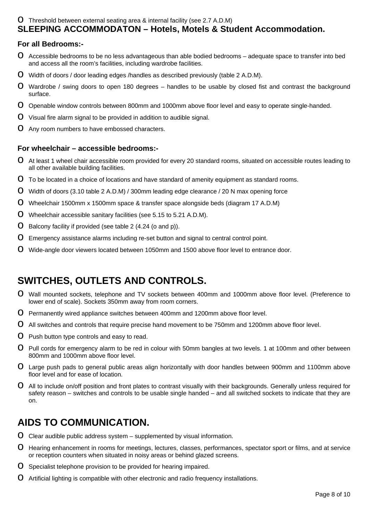#### **O** Threshold between external seating area & internal facility (see 2.7 A.D.M) **SLEEPING ACCOMMODATON – Hotels, Motels & Student Accommodation.**

#### **For all Bedrooms:-**

- O Accessible bedrooms to be no less advantageous than able bodied bedrooms adequate space to transfer into bed and access all the room's facilities, including wardrobe facilities.
- $\overline{O}$  Width of doors / door leading edges /handles as described previously (table 2 A.D.M).
- $\Omega$  Wardrobe / swing doors to open 180 degrees handles to be usable by closed fist and contrast the background surface.
- **O** Openable window controls between 800mm and 1000mm above floor level and easy to operate single-handed.
- **O** Visual fire alarm signal to be provided in addition to audible signal.
- **O** Any room numbers to have embossed characters.

#### **For wheelchair – accessible bedrooms:-**

- o At least 1 wheel chair accessible room provided for every 20 standard rooms, situated on accessible routes leading to all other available building facilities.
- $O$  To be located in a choice of locations and have standard of amenity equipment as standard rooms.
- o Width of doors (3.10 table 2 A.D.M) / 300mm leading edge clearance / 20 N max opening force
- o Wheelchair 1500mm x 1500mm space & transfer space alongside beds (diagram 17 A.D.M)
- **O** Wheelchair accessible sanitary facilities (see 5.15 to 5.21 A.D.M).
- **O** Balcony facility if provided (see table 2  $(4.24$  (o and p)).
- **O** Emergency assistance alarms including re-set button and signal to central control point.
- **O** Wide-angle door viewers located between 1050mm and 1500 above floor level to entrance door.

## **SWITCHES, OUTLETS AND CONTROLS.**

- o Wall mounted sockets, telephone and TV sockets between 400mm and 1000mm above floor level. (Preference to lower end of scale). Sockets 350mm away from room corners.
- O Permanently wired appliance switches between 400mm and 1200mm above floor level.
- O All switches and controls that require precise hand movement to be 750mm and 1200mm above floor level.
- **O** Push button type controls and easy to read.
- o Pull cords for emergency alarm to be red in colour with 50mm bangles at two levels. 1 at 100mm and other between 800mm and 1000mm above floor level.
- o Large push pads to general public areas align horizontally with door handles between 900mm and 1100mm above floor level and for ease of location.
- **O** All to include on/off position and front plates to contrast visually with their backgrounds. Generally unless required for safety reason – switches and controls to be usable single handed – and all switched sockets to indicate that they are on.

### **AIDS TO COMMUNICATION.**

- $O$  Clear audible public address system supplemented by visual information.
- **O** Hearing enhancement in rooms for meetings, lectures, classes, performances, spectator sport or films, and at service or reception counters when situated in noisy areas or behind glazed screens.
- **O** Specialist telephone provision to be provided for hearing impaired.
- **O** Artificial lighting is compatible with other electronic and radio frequency installations.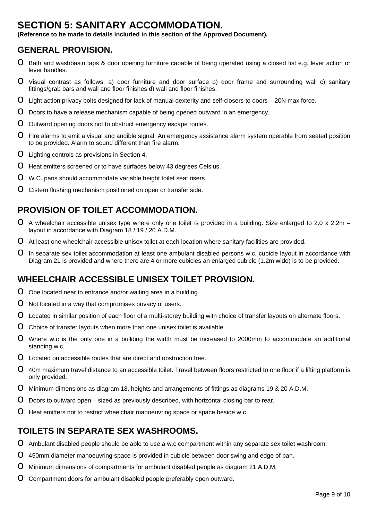### **SECTION 5: SANITARY ACCOMMODATION.**

**(Reference to be made to details included in this section of the Approved Document).** 

### **GENERAL PROVISION.**

- **O** Bath and washbasin taps & door opening furniture capable of being operated using a closed fist e.g. lever action or lever handles.
- o Visual contrast as follows: a) door furniture and door surface b) door frame and surrounding wall c) sanitary fittings/grab bars and wall and floor finishes d) wall and floor finishes.
- $\Omega$  Light action privacy bolts designed for lack of manual dexterity and self-closers to doors 20N max force.
- **O** Doors to have a release mechanism capable of being opened outward in an emergency.
- O Outward opening doors not to obstruct emergency escape routes.
- **O** Fire alarms to emit a visual and audible signal. An emergency assistance alarm system operable from seated position to be provided. Alarm to sound different than fire alarm.
- **O** Lighting controls as provisions in Section 4.
- O Heat emitters screened or to have surfaces below 43 degrees Celsius.
- **O** W.C. pans should accommodate variable height toilet seat risers
- **O** Cistern flushing mechanism positioned on open or transfer side.

### **PROVISION OF TOILET ACCOMMODATION.**

- $O$  A wheelchair accessible unisex type where only one toilet is provided in a building. Size enlarged to 2.0 x 2.2m layout in accordance with Diagram 18 / 19 / 20 A.D.M.
- O At least one wheelchair accessible unisex toilet at each location where sanitary facilities are provided.
- O In separate sex toilet accommodation at least one ambulant disabled persons w.c. cubicle layout in accordance with Diagram 21 is provided and where there are 4 or more cubicles an enlarged cubicle (1.2m wide) is to be provided.

### **WHEELCHAIR ACCESSIBLE UNISEX TOILET PROVISION.**

- $\Omega$  One located near to entrance and/or waiting area in a building.
- **O** Not located in a way that compromises privacy of users.
- **O** Located in similar position of each floor of a multi-storey building with choice of transfer layouts on alternate floors.
- O Choice of transfer layouts when more than one unisex toilet is available.
- o Where w.c is the only one in a building the width must be increased to 2000mm to accommodate an additional standing w.c.
- $\Omega$  Located on accessible routes that are direct and obstruction free.
- **O** 40m maximum travel distance to an accessible toilet. Travel between floors restricted to one floor if a lifting platform is only provided.
- o Minimum dimensions as diagram 18, heights and arrangements of fittings as diagrams 19 & 20 A.D.M.
- $\overline{O}$  Doors to outward open sized as previously described, with horizontal closing bar to rear.
- **O** Heat emitters not to restrict wheelchair manoeuvring space or space beside w.c.

### **TOILETS IN SEPARATE SEX WASHROOMS.**

- **O** Ambulant disabled people should be able to use a w.c compartment within any separate sex toilet washroom.
- O 450mm diameter manoeuvring space is provided in cubicle between door swing and edge of pan.
- O Minimum dimensions of compartments for ambulant disabled people as diagram 21 A.D.M.
- **O** Compartment doors for ambulant disabled people preferably open outward.